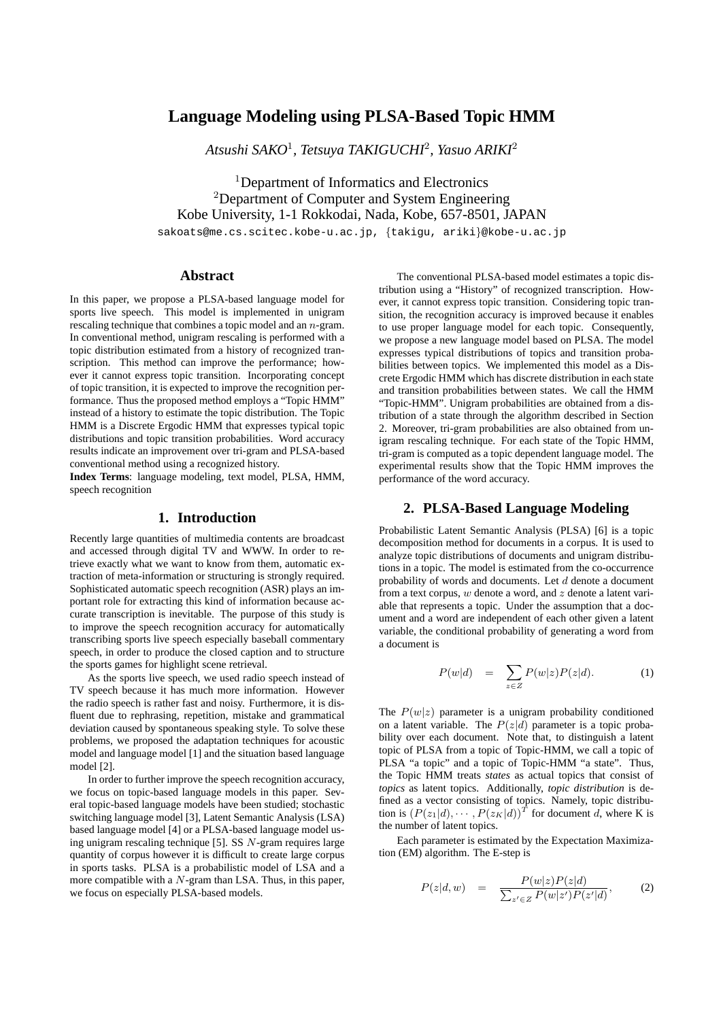# **Language Modeling using PLSA-Based Topic HMM**

*Atsushi SAKO*<sup>1</sup> *, Tetsuya TAKIGUCHI*<sup>2</sup> *, Yasuo ARIKI*<sup>2</sup>

<sup>1</sup>Department of Informatics and Electronics <sup>2</sup>Department of Computer and System Engineering Kobe University, 1-1 Rokkodai, Nada, Kobe, 657-8501, JAPAN

sakoats@me.cs.scitec.kobe-u.ac.jp, *{*takigu, ariki*}*@kobe-u.ac.jp

# **Abstract**

In this paper, we propose a PLSA-based language model for sports live speech. This model is implemented in unigram rescaling technique that combines a topic model and an *n*-gram. In conventional method, unigram rescaling is performed with a topic distribution estimated from a history of recognized transcription. This method can improve the performance; however it cannot express topic transition. Incorporating concept of topic transition, it is expected to improve the recognition performance. Thus the proposed method employs a "Topic HMM" instead of a history to estimate the topic distribution. The Topic HMM is a Discrete Ergodic HMM that expresses typical topic distributions and topic transition probabilities. Word accuracy results indicate an improvement over tri-gram and PLSA-based conventional method using a recognized history.

**Index Terms**: language modeling, text model, PLSA, HMM, speech recognition

# **1. Introduction**

Recently large quantities of multimedia contents are broadcast and accessed through digital TV and WWW. In order to retrieve exactly what we want to know from them, automatic extraction of meta-information or structuring is strongly required. Sophisticated automatic speech recognition (ASR) plays an important role for extracting this kind of information because accurate transcription is inevitable. The purpose of this study is to improve the speech recognition accuracy for automatically transcribing sports live speech especially baseball commentary speech, in order to produce the closed caption and to structure the sports games for highlight scene retrieval.

As the sports live speech, we used radio speech instead of TV speech because it has much more information. However the radio speech is rather fast and noisy. Furthermore, it is disfluent due to rephrasing, repetition, mistake and grammatical deviation caused by spontaneous speaking style. To solve these problems, we proposed the adaptation techniques for acoustic model and language model [1] and the situation based language model [2].

In order to further improve the speech recognition accuracy, we focus on topic-based language models in this paper. Several topic-based language models have been studied; stochastic switching language model [3], Latent Semantic Analysis (LSA) based language model [4] or a PLSA-based language model using unigram rescaling technique [5]. SS *N*-gram requires large quantity of corpus however it is difficult to create large corpus in sports tasks. PLSA is a probabilistic model of LSA and a more compatible with a *N*-gram than LSA. Thus, in this paper, we focus on especially PLSA-based models.

The conventional PLSA-based model estimates a topic distribution using a "History" of recognized transcription. However, it cannot express topic transition. Considering topic transition, the recognition accuracy is improved because it enables to use proper language model for each topic. Consequently, we propose a new language model based on PLSA. The model expresses typical distributions of topics and transition probabilities between topics. We implemented this model as a Discrete Ergodic HMM which has discrete distribution in each state and transition probabilities between states. We call the HMM "Topic-HMM". Unigram probabilities are obtained from a distribution of a state through the algorithm described in Section 2. Moreover, tri-gram probabilities are also obtained from unigram rescaling technique. For each state of the Topic HMM, tri-gram is computed as a topic dependent language model. The experimental results show that the Topic HMM improves the performance of the word accuracy.

#### **2. PLSA-Based Language Modeling**

Probabilistic Latent Semantic Analysis (PLSA) [6] is a topic decomposition method for documents in a corpus. It is used to analyze topic distributions of documents and unigram distributions in a topic. The model is estimated from the co-occurrence probability of words and documents. Let *d* denote a document from a text corpus, *w* denote a word, and *z* denote a latent variable that represents a topic. Under the assumption that a document and a word are independent of each other given a latent variable, the conditional probability of generating a word from a document is

$$
P(w|d) = \sum_{z \in Z} P(w|z)P(z|d). \tag{1}
$$

The  $P(w|z)$  parameter is a unigram probability conditioned on a latent variable. The  $P(z|d)$  parameter is a topic probability over each document. Note that, to distinguish a latent topic of PLSA from a topic of Topic-HMM, we call a topic of PLSA "a topic" and a topic of Topic-HMM "a state". Thus, the Topic HMM treats *states* as actual topics that consist of *topics* as latent topics. Additionally, *topic distribution* is defined as a vector consisting of topics. Namely, topic distribution is  $(P(z_1|d), \dots, P(z_K|d))^T$  for document *d*, where K is the number of latent topics.

Each parameter is estimated by the Expectation Maximization (EM) algorithm. The E-step is

$$
P(z|d, w) = \frac{P(w|z)P(z|d)}{\sum_{z' \in Z} P(w|z')P(z'|d)},
$$
 (2)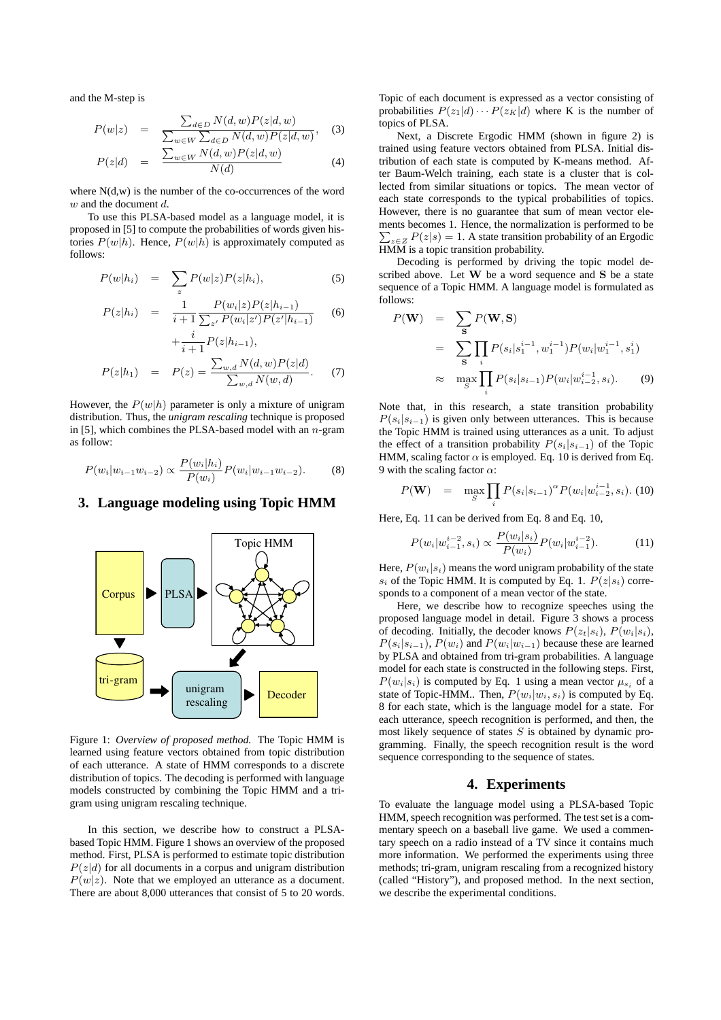and the M-step is

$$
P(w|z) = \frac{\sum_{d \in D} N(d, w) P(z|d, w)}{\sum_{w \in W} \sum_{d \in D} N(d, w) P(z|d, w)},
$$
 (3)

$$
P(z|d) = \frac{\sum_{w \in W} N(d,w) P(z|d,w)}{N(d)} \tag{4}
$$

where  $N(d, w)$  is the number of the co-occurrences of the word *w* and the document *d*.

To use this PLSA-based model as a language model, it is proposed in [5] to compute the probabilities of words given histories  $P(w|h)$ . Hence,  $P(w|h)$  is approximately computed as follows:

$$
P(w|h_i) = \sum_z P(w|z)P(z|h_i), \qquad (5)
$$

$$
P(z|h_i) = \frac{1}{i+1} \frac{P(w_i|z)P(z|h_{i-1})}{\sum_{z'} P(w_i|z')P(z'|h_{i-1})}
$$
 (6)

$$
+\frac{i}{i+1}P(z|h_{i-1}),
$$
  

$$
P(z|h_1) = P(z) = \frac{\sum_{w,d} N(d,w)P(z|d)}{\sum_{w,d} N(w,d)}.
$$
 (7)

However, the  $P(w|h)$  parameter is only a mixture of unigram distribution. Thus, the *unigram rescaling* technique is proposed in [5], which combines the PLSA-based model with an *n*-gram as follow:

$$
P(w_i|w_{i-1}w_{i-2}) \propto \frac{P(w_i|h_i)}{P(w_i)}P(w_i|w_{i-1}w_{i-2}).
$$
 (8)

#### **3. Language modeling using Topic HMM**



Figure 1: *Overview of proposed method.* The Topic HMM is learned using feature vectors obtained from topic distribution of each utterance. A state of HMM corresponds to a discrete distribution of topics. The decoding is performed with language models constructed by combining the Topic HMM and a trigram using unigram rescaling technique.

In this section, we describe how to construct a PLSAbased Topic HMM. Figure 1 shows an overview of the proposed method. First, PLSA is performed to estimate topic distribution  $P(z|d)$  for all documents in a corpus and unigram distribution  $P(w|z)$ . Note that we employed an utterance as a document. There are about 8,000 utterances that consist of 5 to 20 words. Topic of each document is expressed as a vector consisting of probabilities  $P(z_1|d) \cdots P(z_K|d)$  where K is the number of topics of PLSA.

Next, a Discrete Ergodic HMM (shown in figure 2) is trained using feature vectors obtained from PLSA. Initial distribution of each state is computed by K-means method. After Baum-Welch training, each state is a cluster that is collected from similar situations or topics. The mean vector of each state corresponds to the typical probabilities of topics. However, there is no guarantee that sum of mean vector elements becomes 1. Hence, the normalization is performed to be  $\sum_{z \in Z} P(z|s) = 1$ . A state transition probability of an Ergodic HMM is a topic transition probability.

Decoding is performed by driving the topic model described above. Let **W** be a word sequence and **S** be a state sequence of a Topic HMM. A language model is formulated as follows:

$$
P(\mathbf{W}) = \sum_{\mathbf{S}} P(\mathbf{W}, \mathbf{S})
$$
  
= 
$$
\sum_{\mathbf{S}} \prod_{i} P(s_i | s_1^{i-1}, w_1^{i-1}) P(w_i | w_1^{i-1}, s_1^i)
$$
  

$$
\approx \max_{S} \prod_{i} P(s_i | s_{i-1}) P(w_i | w_{i-2}^{i-1}, s_i).
$$
 (9)

Note that, in this research, a state transition probability  $P(s_i|s_{i-1})$  is given only between utterances. This is because the Topic HMM is trained using utterances as a unit. To adjust the effect of a transition probability  $P(s_i|s_{i-1})$  of the Topic HMM, scaling factor  $\alpha$  is employed. Eq. 10 is derived from Eq. 9 with the scaling factor *α*:

$$
P(\mathbf{W}) = \max_{S} \prod_{i} P(s_i|s_{i-1})^{\alpha} P(w_i|w_{i-2}^{i-1}, s_i).
$$
 (10)

Here, Eq. 11 can be derived from Eq. 8 and Eq. 10,

$$
P(w_i|w_{i-1}^{i-2},s_i) \propto \frac{P(w_i|s_i)}{P(w_i)}P(w_i|w_{i-1}^{i-2}).
$$
 (11)

Here,  $P(w_i|s_i)$  means the word unigram probability of the state *s*<sup>*i*</sup> of the Topic HMM. It is computed by Eq. 1.  $P(z|s_i)$  corresponds to a component of a mean vector of the state.

Here, we describe how to recognize speeches using the proposed language model in detail. Figure 3 shows a process of decoding. Initially, the decoder knows  $P(z_t|s_i)$ ,  $P(w_i|s_i)$ ,  $P(s_i|s_{i-1}), P(w_i)$  and  $P(w_i|w_{i-1})$  because these are learned by PLSA and obtained from tri-gram probabilities. A language model for each state is constructed in the following steps. First,  $P(w_i|s_i)$  is computed by Eq. 1 using a mean vector  $\mu_{s_i}$  of a state of Topic-HMM.. Then,  $P(w_i|w_i, s_i)$  is computed by Eq. 8 for each state, which is the language model for a state. For each utterance, speech recognition is performed, and then, the most likely sequence of states *S* is obtained by dynamic programming. Finally, the speech recognition result is the word sequence corresponding to the sequence of states.

# **4. Experiments**

To evaluate the language model using a PLSA-based Topic HMM, speech recognition was performed. The test set is a commentary speech on a baseball live game. We used a commentary speech on a radio instead of a TV since it contains much more information. We performed the experiments using three methods; tri-gram, unigram rescaling from a recognized history (called "History"), and proposed method. In the next section, we describe the experimental conditions.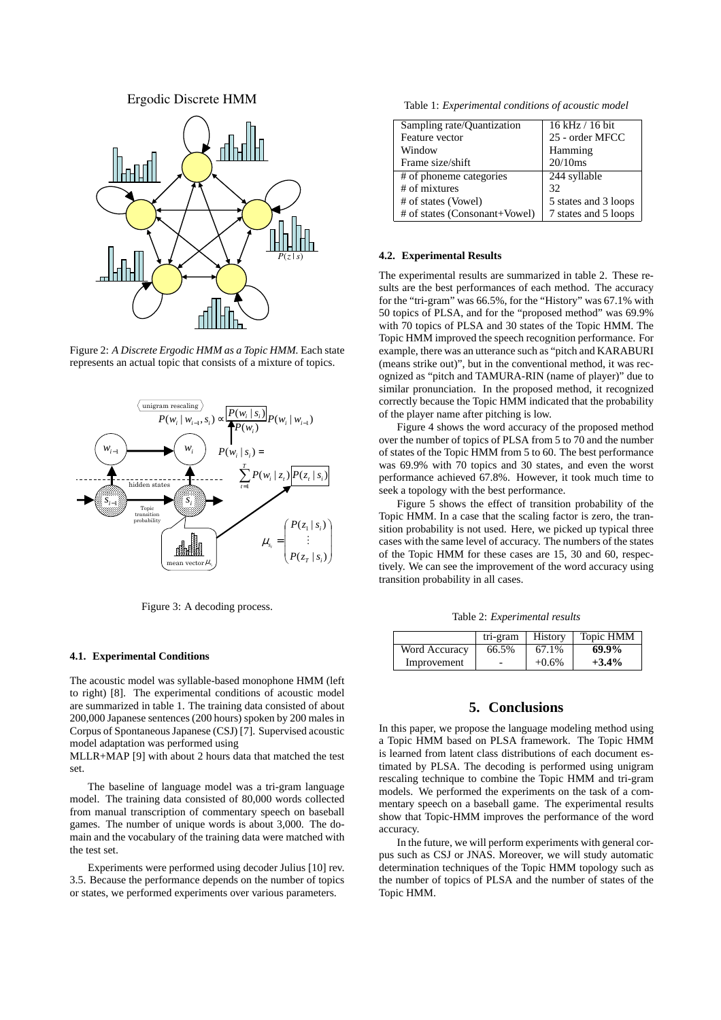### Ergodic Discrete HMM



Figure 2: *A Discrete Ergodic HMM as a Topic HMM.* Each state represents an actual topic that consists of a mixture of topics.



Figure 3: A decoding process.

#### **4.1. Experimental Conditions**

The acoustic model was syllable-based monophone HMM (left to right) [8]. The experimental conditions of acoustic model are summarized in table 1. The training data consisted of about 200,000 Japanese sentences (200 hours) spoken by 200 males in Corpus of Spontaneous Japanese (CSJ) [7]. Supervised acoustic model adaptation was performed using

MLLR+MAP [9] with about 2 hours data that matched the test set.

The baseline of language model was a tri-gram language model. The training data consisted of 80,000 words collected from manual transcription of commentary speech on baseball games. The number of unique words is about 3,000. The domain and the vocabulary of the training data were matched with the test set.

Experiments were performed using decoder Julius [10] rev. 3.5. Because the performance depends on the number of topics or states, we performed experiments over various parameters.

Table 1: *Experimental conditions of acoustic model*

| Sampling rate/Quantization    | $16$ kHz $/$ 16 bit  |  |
|-------------------------------|----------------------|--|
| Feature vector                | 25 - order MFCC      |  |
| Window                        | Hamming              |  |
| Frame size/shift              | 20/10ms              |  |
| # of phoneme categories       | 244 syllable         |  |
| $#$ of mixtures               | 32                   |  |
| # of states (Vowel)           | 5 states and 3 loops |  |
| # of states (Consonant+Vowel) | 7 states and 5 loops |  |

#### **4.2. Experimental Results**

The experimental results are summarized in table 2. These results are the best performances of each method. The accuracy for the "tri-gram" was 66.5%, for the "History" was 67.1% with 50 topics of PLSA, and for the "proposed method" was 69.9% with 70 topics of PLSA and 30 states of the Topic HMM. The Topic HMM improved the speech recognition performance. For example, there was an utterance such as "pitch and KARABURI (means strike out)", but in the conventional method, it was recognized as "pitch and TAMURA-RIN (name of player)" due to similar pronunciation. In the proposed method, it recognized correctly because the Topic HMM indicated that the probability of the player name after pitching is low.

Figure 4 shows the word accuracy of the proposed method over the number of topics of PLSA from 5 to 70 and the number of states of the Topic HMM from 5 to 60. The best performance was 69.9% with 70 topics and 30 states, and even the worst performance achieved 67.8%. However, it took much time to seek a topology with the best performance.

Figure 5 shows the effect of transition probability of the Topic HMM. In a case that the scaling factor is zero, the transition probability is not used. Here, we picked up typical three cases with the same level of accuracy. The numbers of the states of the Topic HMM for these cases are 15, 30 and 60, respectively. We can see the improvement of the word accuracy using transition probability in all cases.

Table 2: *Experimental results*

|               | tri-gram | History  | Topic HMM |
|---------------|----------|----------|-----------|
| Word Accuracy | 66.5%    | 67.1%    | 69.9%     |
| Improvement   | -        | $+0.6\%$ | $+3.4%$   |

#### **5. Conclusions**

In this paper, we propose the language modeling method using a Topic HMM based on PLSA framework. The Topic HMM is learned from latent class distributions of each document estimated by PLSA. The decoding is performed using unigram rescaling technique to combine the Topic HMM and tri-gram models. We performed the experiments on the task of a commentary speech on a baseball game. The experimental results show that Topic-HMM improves the performance of the word accuracy.

In the future, we will perform experiments with general corpus such as CSJ or JNAS. Moreover, we will study automatic determination techniques of the Topic HMM topology such as the number of topics of PLSA and the number of states of the Topic HMM.